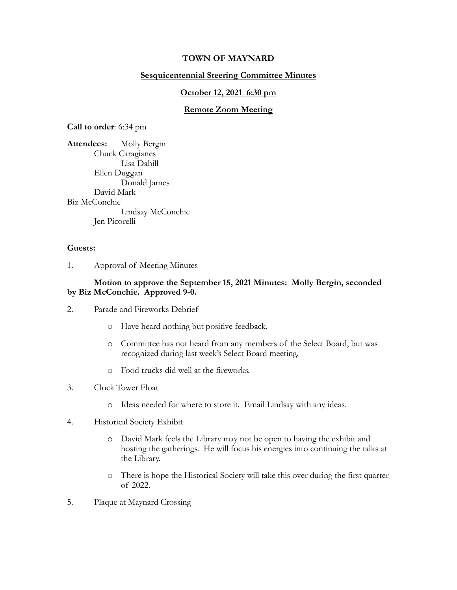## **TOWN OF MAYNARD**

## **Sesquicentennial Steering Committee Minutes**

#### **October 12, 2021 6:30 pm**

## **Remote Zoom Meeting**

**Call to order**: 6:34 pm

**Attendees:** Molly Bergin Chuck Caragianes Lisa Dahill Ellen Duggan Donald James David Mark Biz McConchie Lindsay McConchie Jen Picorelli

#### **Guests:**

1. Approval of Meeting Minutes

## **Motion to approve the September 15, 2021 Minutes: Molly Bergin, seconded by Biz McConchie. Approved 9-0.**

- 2. Parade and Fireworks Debrief
	- o Have heard nothing but positive feedback.
	- o Committee has not heard from any members of the Select Board, but was recognized during last week's Select Board meeting.
	- o Food trucks did well at the fireworks.

#### 3. Clock Tower Float

- o Ideas needed for where to store it. Email Lindsay with any ideas.
- 4. Historical Society Exhibit
	- o David Mark feels the Library may not be open to having the exhibit and hosting the gatherings. He will focus his energies into continuing the talks at the Library.
	- o There is hope the Historical Society will take this over during the first quarter of 2022.
- 5. Plaque at Maynard Crossing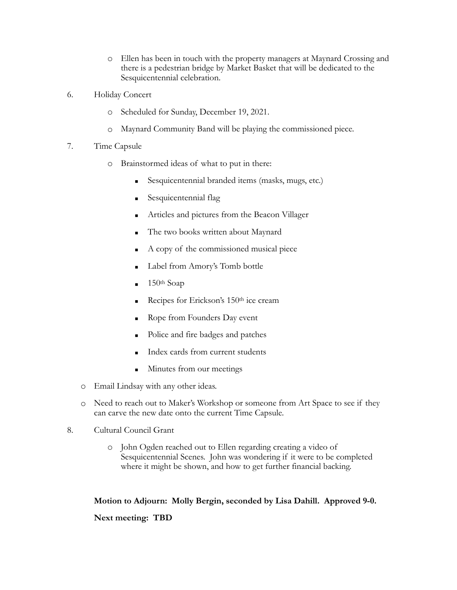- o Ellen has been in touch with the property managers at Maynard Crossing and there is a pedestrian bridge by Market Basket that will be dedicated to the Sesquicentennial celebration.
- 6. Holiday Concert
	- o Scheduled for Sunday, December 19, 2021.
	- o Maynard Community Band will be playing the commissioned piece.
- 7. Time Capsule
	- o Brainstormed ideas of what to put in there:
		- Sesquicentennial branded items (masks, mugs, etc.)
		- Sesquicentennial flag
		- Articles and pictures from the Beacon Villager
		- The two books written about Maynard
		- A copy of the commissioned musical piece
		- Label from Amory's Tomb bottle
		- $\blacksquare$  150<sup>th</sup> Soap
		- Recipes for Erickson's 150<sup>th</sup> ice cream
		- Rope from Founders Day event
		- Police and fire badges and patches
		- Index cards from current students
		- **If** Minutes from our meetings
	- o Email Lindsay with any other ideas.
	- o Need to reach out to Maker's Workshop or someone from Art Space to see if they can carve the new date onto the current Time Capsule.
- 8. Cultural Council Grant
	- o John Ogden reached out to Ellen regarding creating a video of Sesquicentennial Scenes. John was wondering if it were to be completed where it might be shown, and how to get further financial backing.

# **Motion to Adjourn: Molly Bergin, seconded by Lisa Dahill. Approved 9-0.**

# **Next meeting: TBD**